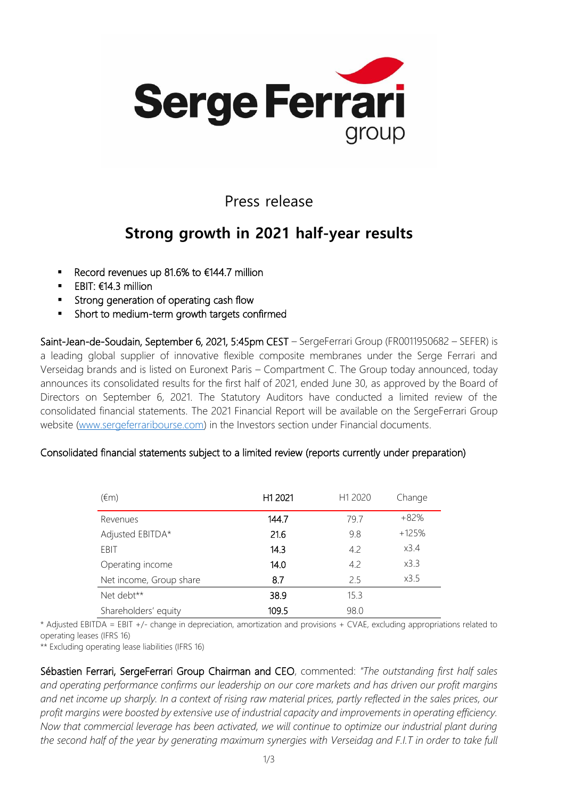

### Press release

## **Strong growth in 2021 half-year results**

- Record revenues up 81.6% to €144.7 million
- EBIT:  $€14.3$  million
- **EXECT:** Strong generation of operating cash flow
- Short to medium-term growth targets confirmed

Saint-Jean-de-Soudain, September 6, 2021, 5:45pm CEST – SergeFerrari Group (FR0011950682 – SEFER) is a leading global supplier of innovative flexible composite membranes under the Serge Ferrari and Verseidag brands and is listed on Euronext Paris – Compartment C. The Group today announced, today announces its consolidated results for the first half of 2021, ended June 30, as approved by the Board of Directors on September 6, 2021. The Statutory Auditors have conducted a limited review of the consolidated financial statements. The 2021 Financial Report will be available on the SergeFerrari Group website [\(www.sergeferraribourse.com\)](https://www.sergeferraribourse.com/informations-financieres/documents-financiers.html) in the Investors section under Financial documents.

| $(\epsilon m)$          | H <sub>1</sub> 2021 | H <sub>1</sub> 2020 | Change  |
|-------------------------|---------------------|---------------------|---------|
| Revenues                | 144.7               | 79.7                | $+82%$  |
| Adjusted EBITDA*        | 21.6                | 9.8                 | $+125%$ |
| EBIT                    | 14.3                | 4.2                 | x3.4    |
| Operating income        | 14.0                | 4.2                 | x3.3    |
| Net income, Group share | 8.7                 | 2.5                 | x3.5    |
| Net debt**              | 38.9                | 15.3                |         |
| Shareholders' equity    | 109.5               | 98.0                |         |

#### Consolidated financial statements subject to a limited review (reports currently under preparation)

\* Adjusted EBITDA = EBIT +/- change in depreciation, amortization and provisions + CVAE, excluding appropriations related to operating leases (IFRS 16)

\*\* Excluding operating lease liabilities (IFRS 16)

Sébastien Ferrari, SergeFerrari Group Chairman and CEO, commented: *"The outstanding first half sales and operating performance confirms our leadership on our core markets and has driven our profit margins and net income up sharply. In a context of rising raw material prices, partly reflected in the sales prices, our profit margins were boosted by extensive use of industrial capacity and improvements in operating efficiency. Now that commercial leverage has been activated, we will continue to optimize our industrial plant during the second half of the year by generating maximum synergies with Verseidag and F.I.T in order to take full*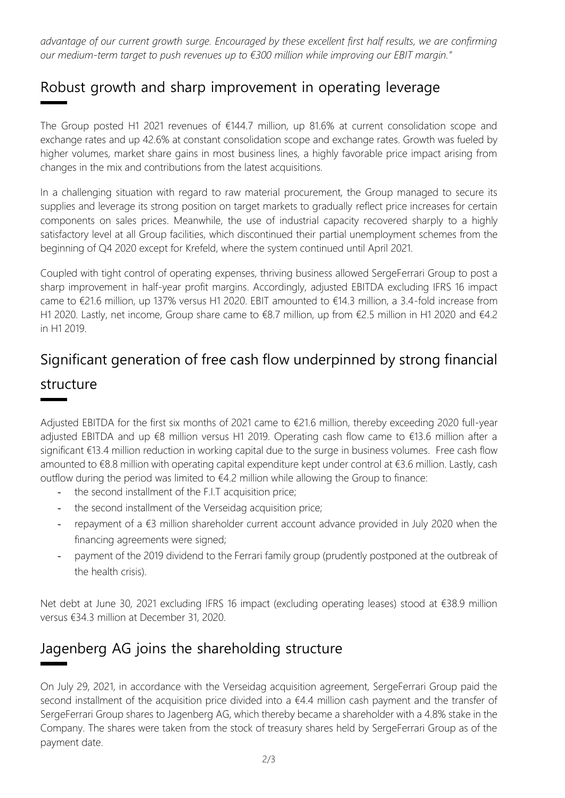*advantage of our current growth surge. Encouraged by these excellent first half results, we are confirming our medium-term target to push revenues up to €300 million while improving our EBIT margin."*

### Robust growth and sharp improvement in operating leverage

The Group posted H1 2021 revenues of €144.7 million, up 81.6% at current consolidation scope and exchange rates and up 42.6% at constant consolidation scope and exchange rates. Growth was fueled by higher volumes, market share gains in most business lines, a highly favorable price impact arising from changes in the mix and contributions from the latest acquisitions.

In a challenging situation with regard to raw material procurement, the Group managed to secure its supplies and leverage its strong position on target markets to gradually reflect price increases for certain components on sales prices. Meanwhile, the use of industrial capacity recovered sharply to a highly satisfactory level at all Group facilities, which discontinued their partial unemployment schemes from the beginning of Q4 2020 except for Krefeld, where the system continued until April 2021.

Coupled with tight control of operating expenses, thriving business allowed SergeFerrari Group to post a sharp improvement in half-year profit margins. Accordingly, adjusted EBITDA excluding IFRS 16 impact came to €21.6 million, up 137% versus H1 2020. EBIT amounted to €14.3 million, a 3.4-fold increase from H1 2020. Lastly, net income, Group share came to €8.7 million, up from €2.5 million in H1 2020 and €4.2 in H1 2019.

### Significant generation of free cash flow underpinned by strong financial

#### structure

Adjusted EBITDA for the first six months of 2021 came to €21.6 million, thereby exceeding 2020 full-year adjusted EBITDA and up €8 million versus H1 2019. Operating cash flow came to €13.6 million after a significant €13.4 million reduction in working capital due to the surge in business volumes. Free cash flow amounted to €8.8 million with operating capital expenditure kept under control at €3.6 million. Lastly, cash outflow during the period was limited to  $\epsilon$ 4.2 million while allowing the Group to finance:

- the second installment of the F.I.T acquisition price;
- the second installment of the Verseidag acquisition price;
- repayment of a €3 million shareholder current account advance provided in July 2020 when the financing agreements were signed;
- payment of the 2019 dividend to the Ferrari family group (prudently postponed at the outbreak of the health crisis).

Net debt at June 30, 2021 excluding IFRS 16 impact (excluding operating leases) stood at €38.9 million versus €34.3 million at December 31, 2020.

### Jagenberg AG joins the shareholding structure

On July 29, 2021, in accordance with the Verseidag acquisition agreement, SergeFerrari Group paid the second installment of the acquisition price divided into a €4.4 million cash payment and the transfer of SergeFerrari Group shares to Jagenberg AG, which thereby became a shareholder with a 4.8% stake in the Company. The shares were taken from the stock of treasury shares held by SergeFerrari Group as of the payment date.